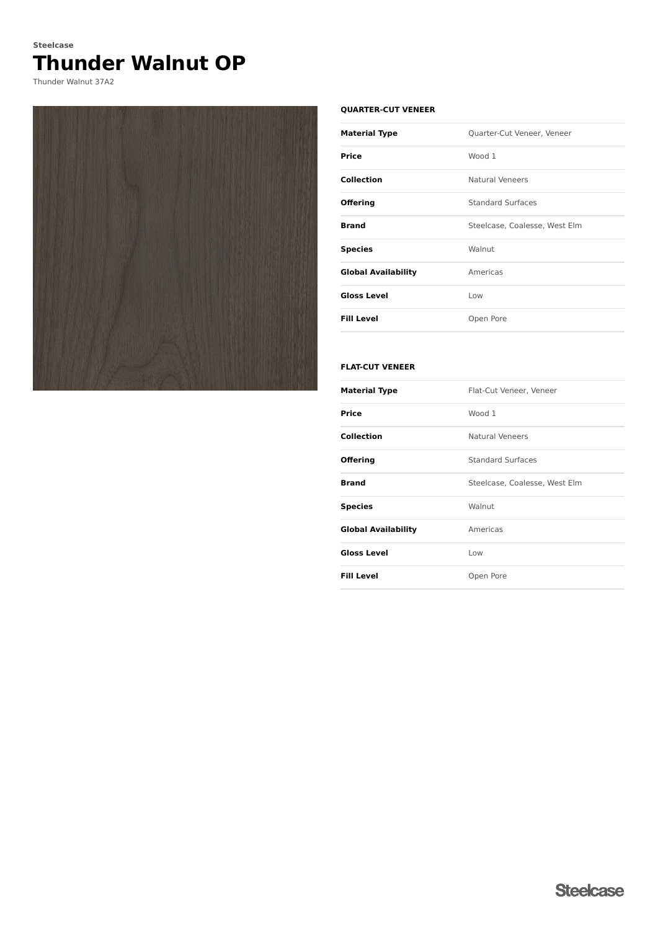# **Thunder Walnut OP Steelcase**

Thunder Walnut 37A2



#### **QUARTER-CUT VENEER**

| <b>Material Type</b>       | Quarter-Cut Veneer, Veneer    |
|----------------------------|-------------------------------|
| Price                      | Wood 1                        |
| Collection                 | <b>Natural Veneers</b>        |
| <b>Offering</b>            | <b>Standard Surfaces</b>      |
| <b>Brand</b>               | Steelcase, Coalesse, West Elm |
| <b>Species</b>             | Walnut                        |
| <b>Global Availability</b> | Americas                      |
| <b>Gloss Level</b>         | Low                           |
| <b>Fill Level</b>          | Open Pore                     |

### **FLAT-CUT VENEER**

| <b>Material Type</b>       | Flat-Cut Veneer, Veneer       |
|----------------------------|-------------------------------|
| <b>Price</b>               | Wood 1                        |
| <b>Collection</b>          | <b>Natural Veneers</b>        |
| <b>Offering</b>            | <b>Standard Surfaces</b>      |
| <b>Brand</b>               | Steelcase, Coalesse, West Elm |
| <b>Species</b>             | Walnut                        |
| <b>Global Availability</b> | Americas                      |
| <b>Gloss Level</b>         | Low                           |
| <b>Fill Level</b>          | Open Pore                     |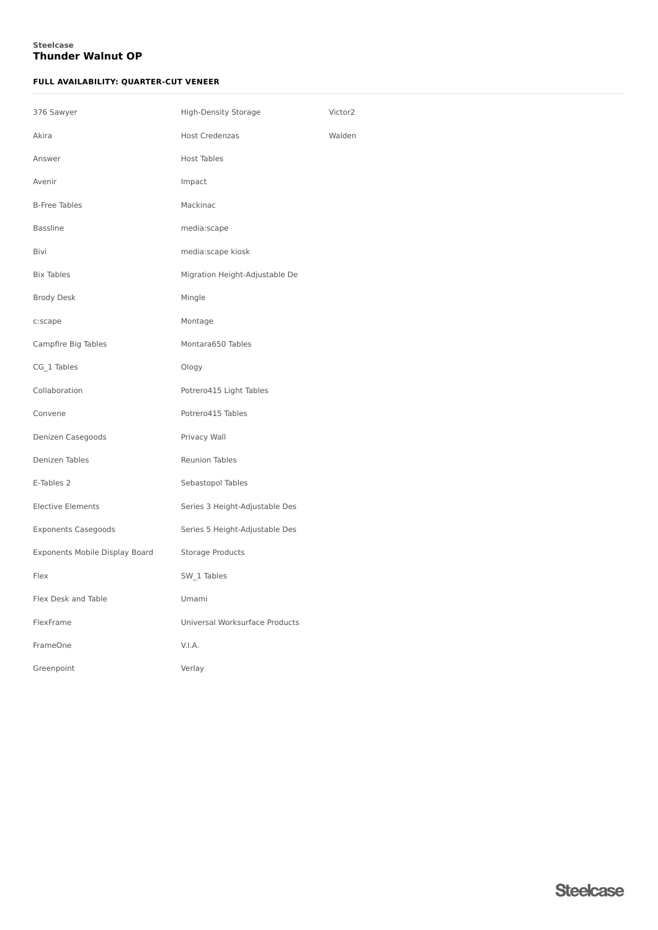### **Thunder Walnut OP Steelcase**

### **FULL AVAILABILITY: QUARTER-CUT VENEER**

| 376 Sawyer                     | High-Density Storage           | Victor2 |
|--------------------------------|--------------------------------|---------|
| Akira                          | <b>Host Credenzas</b>          | Walden  |
| Answer                         | <b>Host Tables</b>             |         |
| Avenir                         | Impact                         |         |
| <b>B-Free Tables</b>           | Mackinac                       |         |
| Bassline                       | media:scape                    |         |
| Bivi                           | media:scape kiosk              |         |
| <b>Bix Tables</b>              | Migration Height-Adjustable De |         |
| Brody Desk                     | Mingle                         |         |
| c:scape                        | Montage                        |         |
| Campfire Big Tables            | Montara650 Tables              |         |
| CG_1 Tables                    | Ology                          |         |
| Collaboration                  | Potrero415 Light Tables        |         |
| Convene                        | Potrero415 Tables              |         |
| Denizen Casegoods              | Privacy Wall                   |         |
| Denizen Tables                 | <b>Reunion Tables</b>          |         |
| E-Tables 2                     | Sebastopol Tables              |         |
| Elective Elements              | Series 3 Height-Adjustable Des |         |
| <b>Exponents Casegoods</b>     | Series 5 Height-Adjustable Des |         |
| Exponents Mobile Display Board | Storage Products               |         |
| Flex                           | SW_1 Tables                    |         |
| Flex Desk and Table            | Umami                          |         |
| FlexFrame                      | Universal Worksurface Products |         |
| FrameOne                       | V.I.A.                         |         |
| Greenpoint                     | Verlay                         |         |
|                                |                                |         |